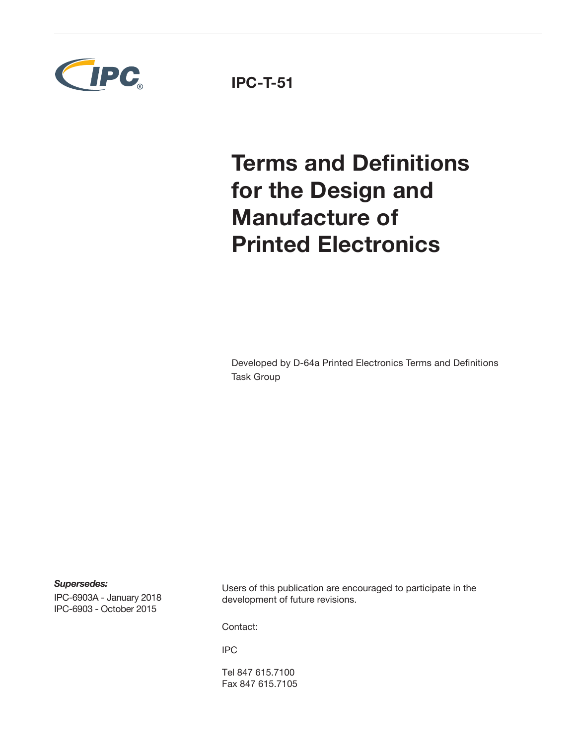

**IPC-T-51**

# **Terms and Definitions for the Design and Manufacture of Printed Electronics**

Developed by D-64a Printed Electronics Terms and Definitions Task Group

*Supersedes:*

IPC-6903A - January 2018 IPC-6903 - October 2015

Users of this publication are encouraged to participate in the development of future revisions.

Contact:

IPC

Tel 847 615.7100 Fax 847 615.7105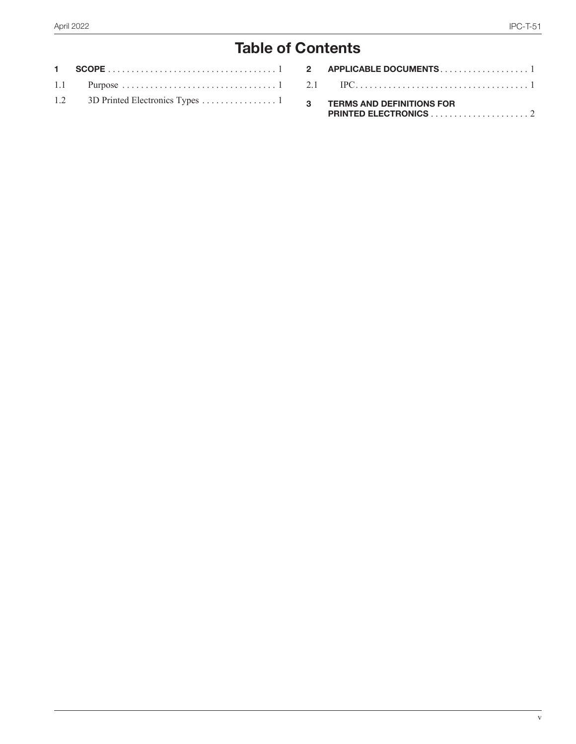## **Table of Contents**

| 2 APPLICABLE DOCUMENTS1            |
|------------------------------------|
|                                    |
| <b>3 TERMS AND DEFINITIONS FOR</b> |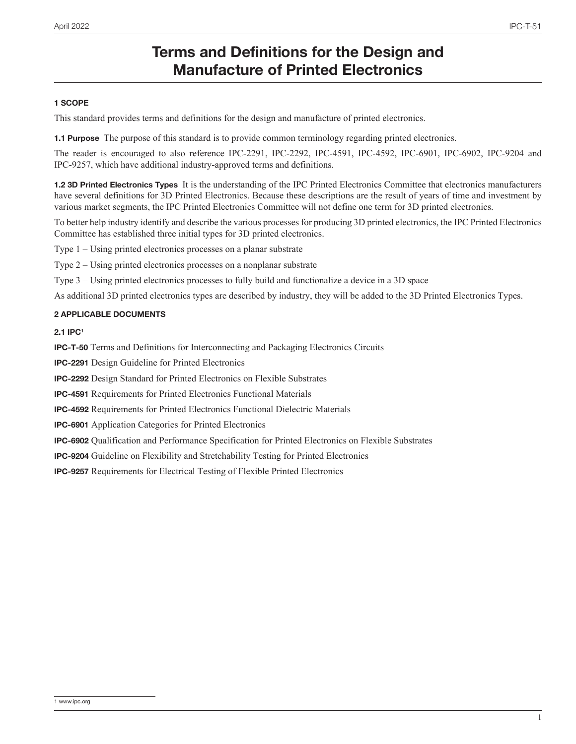### **Terms and Definitions for the Design and Manufacture of Printed Electronics**

#### **1 SCOPE**

This standard provides terms and definitions for the design and manufacture of printed electronics.

**1.1 Purpose** The purpose of this standard is to provide common terminology regarding printed electronics.

The reader is encouraged to also reference IPC-2291, IPC-2292, IPC-4591, IPC-4592, IPC-6901, IPC-6902, IPC-9204 and IPC-9257, which have additional industry-approved terms and definitions.

**1.2 3D Printed Electronics Types** It is the understanding of the IPC Printed Electronics Committee that electronics manufacturers have several definitions for 3D Printed Electronics. Because these descriptions are the result of years of time and investment by various market segments, the IPC Printed Electronics Committee will not define one term for 3D printed electronics.

To better help industry identify and describe the various processes for producing 3D printed electronics, the IPC Printed Electronics Committee has established three initial types for 3D printed electronics.

Type 1 – Using printed electronics processes on a planar substrate

Type 2 – Using printed electronics processes on a nonplanar substrate

Type 3 – Using printed electronics processes to fully build and functionalize a device in a 3D space

As additional 3D printed electronics types are described by industry, they will be added to the 3D Printed Electronics Types.

#### **2 APPLICABLE DOCUMENTS**

**2.1 IPC1**

**IPC-T-50** Terms and Definitions for Interconnecting and Packaging Electronics Circuits

**IPC-2291** Design Guideline for Printed Electronics

**IPC-2292** Design Standard for Printed Electronics on Flexible Substrates

**IPC-4591** Requirements for Printed Electronics Functional Materials

**IPC-4592** Requirements for Printed Electronics Functional Dielectric Materials

**IPC-6901** Application Categories for Printed Electronics

**IPC-6902** Qualification and Performance Specification for Printed Electronics on Flexible Substrates

**IPC-9204** Guideline on Flexibility and Stretchability Testing for Printed Electronics

**IPC-9257** Requirements for Electrical Testing of Flexible Printed Electronics